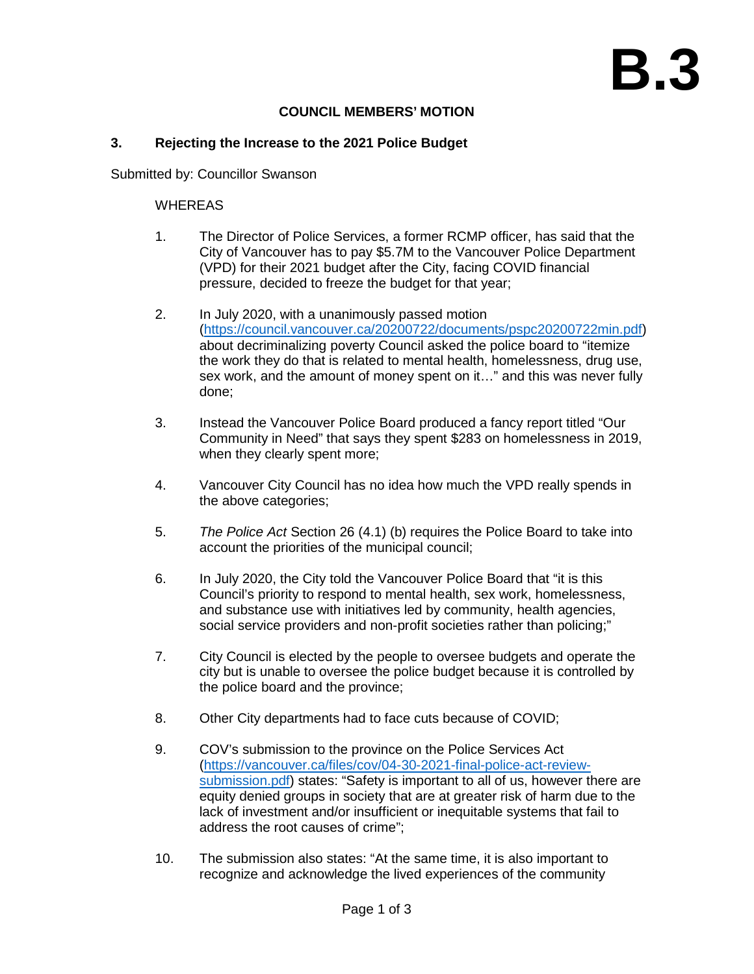## **COUNCIL MEMBERS' MOTION**

## **3. Rejecting the Increase to the 2021 Police Budget**

Submitted by: Councillor Swanson

## WHEREAS

- 1. The Director of Police Services, a former RCMP officer, has said that the City of Vancouver has to pay \$5.7M to the Vancouver Police Department (VPD) for their 2021 budget after the City, facing COVID financial pressure, decided to freeze the budget for that year;
- 2. In July 2020, with a unanimously passed motion [\(https://council.vancouver.ca/20200722/documents/pspc20200722min.pdf\)](https://council.vancouver.ca/20200722/documents/pspc20200722min.pdf) about decriminalizing poverty Council asked the police board to "itemize the work they do that is related to mental health, homelessness, drug use, sex work, and the amount of money spent on it…" and this was never fully done;
- 3. Instead the Vancouver Police Board produced a fancy report titled "Our Community in Need" that says they spent \$283 on homelessness in 2019, when they clearly spent more;
- 4. Vancouver City Council has no idea how much the VPD really spends in the above categories;
- 5. *The Police Act* Section 26 (4.1) (b) requires the Police Board to take into account the priorities of the municipal council;
- 6. In July 2020, the City told the Vancouver Police Board that "it is this Council's priority to respond to mental health, sex work, homelessness, and substance use with initiatives led by community, health agencies, social service providers and non-profit societies rather than policing;"
- 7. City Council is elected by the people to oversee budgets and operate the city but is unable to oversee the police budget because it is controlled by the police board and the province;
- 8. Other City departments had to face cuts because of COVID;
- 9. COV's submission to the province on the Police Services Act [\(https://vancouver.ca/files/cov/04-30-2021-final-police-act-review](https://vancouver.ca/files/cov/04-30-2021-final-police-act-review-submission.pdf)[submission.pdf\)](https://vancouver.ca/files/cov/04-30-2021-final-police-act-review-submission.pdf) states: "Safety is important to all of us, however there are equity denied groups in society that are at greater risk of harm due to the lack of investment and/or insufficient or inequitable systems that fail to address the root causes of crime";
- 10. The submission also states: "At the same time, it is also important to recognize and acknowledge the lived experiences of the community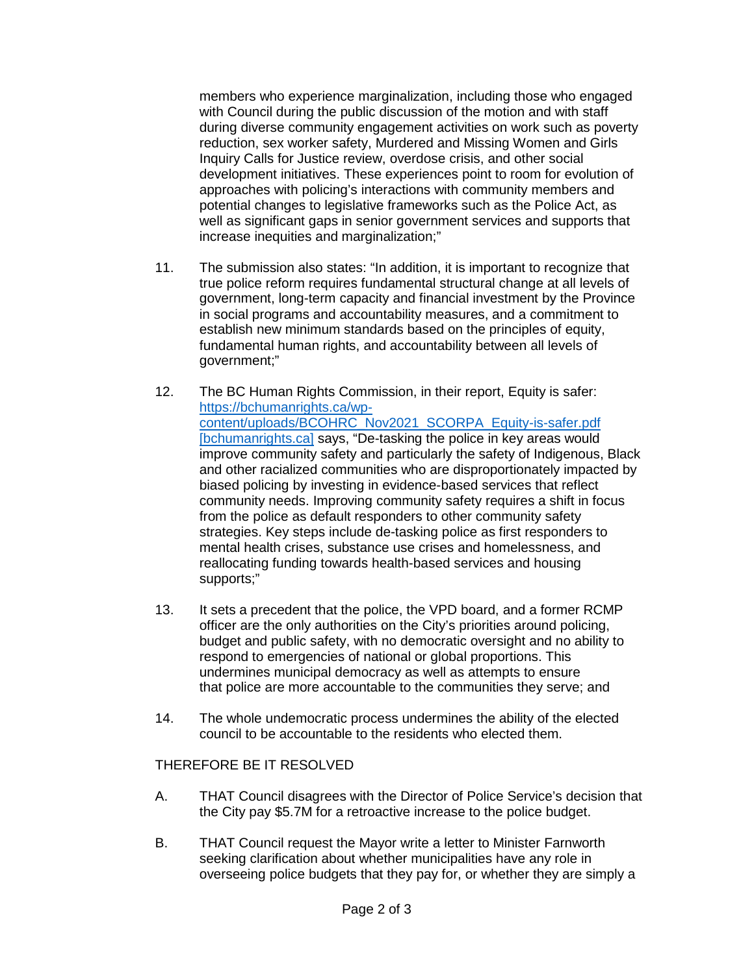members who experience marginalization, including those who engaged with Council during the public discussion of the motion and with staff during diverse community engagement activities on work such as poverty reduction, sex worker safety, Murdered and Missing Women and Girls Inquiry Calls for Justice review, overdose crisis, and other social development initiatives. These experiences point to room for evolution of approaches with policing's interactions with community members and potential changes to legislative frameworks such as the Police Act, as well as significant gaps in senior government services and supports that increase inequities and marginalization;"

- 11. The submission also states: "In addition, it is important to recognize that true police reform requires fundamental structural change at all levels of government, long-term capacity and financial investment by the Province in social programs and accountability measures, and a commitment to establish new minimum standards based on the principles of equity, fundamental human rights, and accountability between all levels of government;"
- 12. The BC Human Rights Commission, in their report, Equity is safer: [https://bchumanrights.ca/wp](https://urldefense.com/v3/__https:/bchumanrights.ca/wp-content/uploads/BCOHRC_Nov2021_SCORPA_Equity-is-safer.pdf__;!!G4oVokrRG-Im!5QhyxNDW_6cL_-Rbie4rQ4vYrZXMio2jBbe8sTseRVXMQro1oID-PCAh9xXcO_qsjKwgdcs$)[content/uploads/BCOHRC\\_Nov2021\\_SCORPA\\_Equity-is-safer.pdf](https://urldefense.com/v3/__https:/bchumanrights.ca/wp-content/uploads/BCOHRC_Nov2021_SCORPA_Equity-is-safer.pdf__;!!G4oVokrRG-Im!5QhyxNDW_6cL_-Rbie4rQ4vYrZXMio2jBbe8sTseRVXMQro1oID-PCAh9xXcO_qsjKwgdcs$)  [\[bchumanrights.ca\]](https://urldefense.com/v3/__https:/bchumanrights.ca/wp-content/uploads/BCOHRC_Nov2021_SCORPA_Equity-is-safer.pdf__;!!G4oVokrRG-Im!5QhyxNDW_6cL_-Rbie4rQ4vYrZXMio2jBbe8sTseRVXMQro1oID-PCAh9xXcO_qsjKwgdcs$) says, "De-tasking the police in key areas would improve community safety and particularly the safety of Indigenous, Black and other racialized communities who are disproportionately impacted by biased policing by investing in evidence-based services that reflect community needs. Improving community safety requires a shift in focus from the police as default responders to other community safety strategies. Key steps include de-tasking police as first responders to mental health crises, substance use crises and homelessness, and reallocating funding towards health-based services and housing supports;"
- 13. It sets a precedent that the police, the VPD board, and a former RCMP officer are the only authorities on the City's priorities around policing, budget and public safety, with no democratic oversight and no ability to respond to emergencies of national or global proportions. This undermines municipal democracy as well as attempts to ensure that police are more accountable to the communities they serve; and
- 14. The whole undemocratic process undermines the ability of the elected council to be accountable to the residents who elected them.

## THEREFORE BE IT RESOLVED

- A. THAT Council disagrees with the Director of Police Service's decision that the City pay \$5.7M for a retroactive increase to the police budget.
- B. THAT Council request the Mayor write a letter to Minister Farnworth seeking clarification about whether municipalities have any role in overseeing police budgets that they pay for, or whether they are simply a